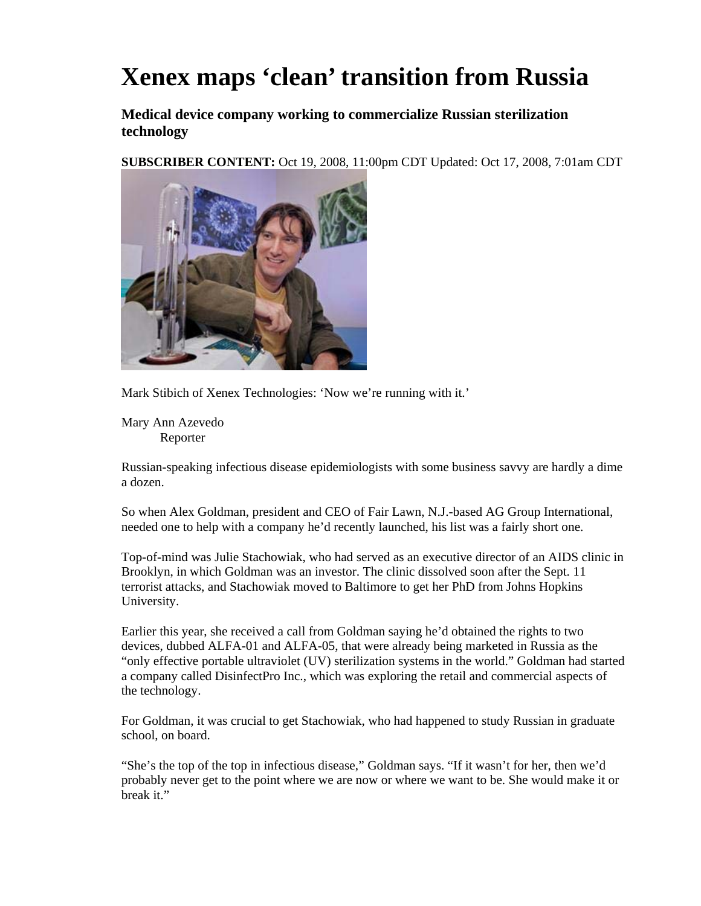## **Xenex maps 'clean' transition from Russia**

**Medical device company working to commercialize Russian sterilization technology** 

**SUBSCRIBER CONTENT:** Oct 19, 2008, 11:00pm CDT Updated: Oct 17, 2008, 7:01am CDT



Mark Stibich of Xenex Technologies: 'Now we're running with it.'

Mary Ann Azevedo Reporter

Russian-speaking infectious disease epidemiologists with some business savvy are hardly a dime a dozen.

So when Alex Goldman, president and CEO of Fair Lawn, N.J.-based AG Group International, needed one to help with a company he'd recently launched, his list was a fairly short one.

Top-of-mind was Julie Stachowiak, who had served as an executive director of an AIDS clinic in Brooklyn, in which Goldman was an investor. The clinic dissolved soon after the Sept. 11 terrorist attacks, and Stachowiak moved to Baltimore to get her PhD from Johns Hopkins University.

Earlier this year, she received a call from Goldman saying he'd obtained the rights to two devices, dubbed ALFA-01 and ALFA-05, that were already being marketed in Russia as the "only effective portable ultraviolet (UV) sterilization systems in the world." Goldman had started a company called DisinfectPro Inc., which was exploring the retail and commercial aspects of the technology.

For Goldman, it was crucial to get Stachowiak, who had happened to study Russian in graduate school, on board.

"She's the top of the top in infectious disease," Goldman says. "If it wasn't for her, then we'd probably never get to the point where we are now or where we want to be. She would make it or break it."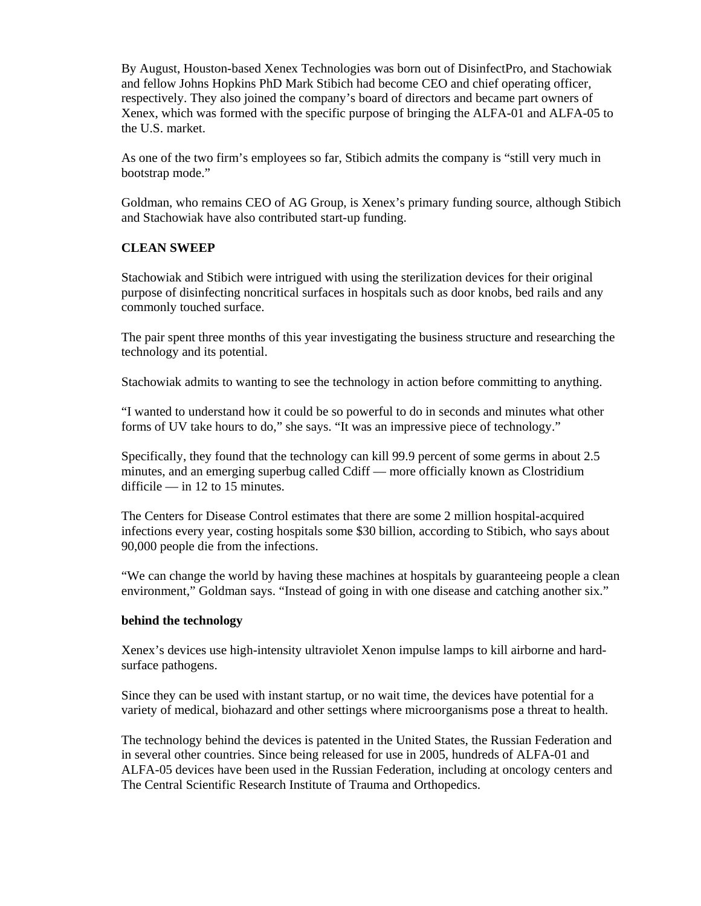By August, Houston-based Xenex Technologies was born out of DisinfectPro, and Stachowiak and fellow Johns Hopkins PhD Mark Stibich had become CEO and chief operating officer, respectively. They also joined the company's board of directors and became part owners of Xenex, which was formed with the specific purpose of bringing the ALFA-01 and ALFA-05 to the U.S. market.

As one of the two firm's employees so far, Stibich admits the company is "still very much in bootstrap mode."

Goldman, who remains CEO of AG Group, is Xenex's primary funding source, although Stibich and Stachowiak have also contributed start-up funding.

## **CLEAN SWEEP**

Stachowiak and Stibich were intrigued with using the sterilization devices for their original purpose of disinfecting noncritical surfaces in hospitals such as door knobs, bed rails and any commonly touched surface.

The pair spent three months of this year investigating the business structure and researching the technology and its potential.

Stachowiak admits to wanting to see the technology in action before committing to anything.

"I wanted to understand how it could be so powerful to do in seconds and minutes what other forms of UV take hours to do," she says. "It was an impressive piece of technology."

Specifically, they found that the technology can kill 99.9 percent of some germs in about 2.5 minutes, and an emerging superbug called Cdiff — more officially known as Clostridium difficile — in 12 to 15 minutes.

The Centers for Disease Control estimates that there are some 2 million hospital-acquired infections every year, costing hospitals some \$30 billion, according to Stibich, who says about 90,000 people die from the infections.

"We can change the world by having these machines at hospitals by guaranteeing people a clean environment," Goldman says. "Instead of going in with one disease and catching another six."

## **behind the technology**

Xenex's devices use high-intensity ultraviolet Xenon impulse lamps to kill airborne and hardsurface pathogens.

Since they can be used with instant startup, or no wait time, the devices have potential for a variety of medical, biohazard and other settings where microorganisms pose a threat to health.

The technology behind the devices is patented in the United States, the Russian Federation and in several other countries. Since being released for use in 2005, hundreds of ALFA-01 and ALFA-05 devices have been used in the Russian Federation, including at oncology centers and The Central Scientific Research Institute of Trauma and Orthopedics.